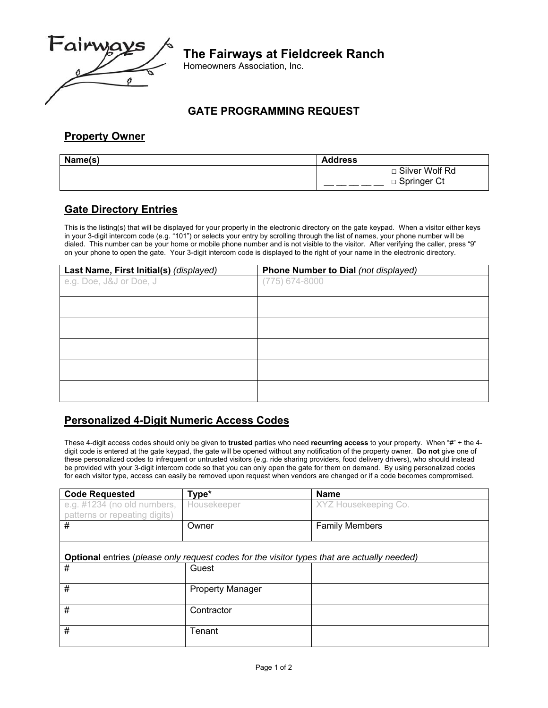

# **The Fairways at Fieldcreek Ranch**

Homeowners Association, Inc.

#### **GATE PROGRAMMING REQUEST**

### **Property Owner**

| Name(s) | <b>Address</b>   |
|---------|------------------|
|         | □ Silver Wolf Rd |
|         | □ Springer Ct    |

#### **Gate Directory Entries**

This is the listing(s) that will be displayed for your property in the electronic directory on the gate keypad. When a visitor either keys in your 3-digit intercom code (e.g. "101") or selects your entry by scrolling through the list of names, your phone number will be dialed. This number can be your home or mobile phone number and is not visible to the visitor. After verifying the caller, press "9" on your phone to open the gate. Your 3-digit intercom code is displayed to the right of your name in the electronic directory.

| Last Name, First Initial(s) (displayed) | Phone Number to Dial (not displayed) |
|-----------------------------------------|--------------------------------------|
| e.g. Doe, J&J or Doe, J                 | $(775)$ 674-8000                     |
|                                         |                                      |
|                                         |                                      |
|                                         |                                      |
|                                         |                                      |
|                                         |                                      |
|                                         |                                      |
|                                         |                                      |
|                                         |                                      |
|                                         |                                      |
|                                         |                                      |
|                                         |                                      |

#### **Personalized 4-Digit Numeric Access Codes**

These 4-digit access codes should only be given to **trusted** parties who need **recurring access** to your property. When "#" + the 4 digit code is entered at the gate keypad, the gate will be opened without any notification of the property owner. **Do not** give one of these personalized codes to infrequent or untrusted visitors (e.g. ride sharing providers, food delivery drivers), who should instead be provided with your 3-digit intercom code so that you can only open the gate for them on demand. By using personalized codes for each visitor type, access can easily be removed upon request when vendors are changed or if a code becomes compromised.

| <b>Code Requested</b>                                                                              | Type*                   | <b>Name</b>           |  |
|----------------------------------------------------------------------------------------------------|-------------------------|-----------------------|--|
| e.g. #1234 (no old numbers,                                                                        | Housekeeper             | XYZ Housekeeping Co.  |  |
| patterns or repeating digits)                                                                      |                         |                       |  |
| #                                                                                                  | Owner                   | <b>Family Members</b> |  |
|                                                                                                    |                         |                       |  |
|                                                                                                    |                         |                       |  |
| <b>Optional</b> entries (please only request codes for the visitor types that are actually needed) |                         |                       |  |
| #                                                                                                  | Guest                   |                       |  |
|                                                                                                    |                         |                       |  |
| #                                                                                                  | <b>Property Manager</b> |                       |  |
|                                                                                                    |                         |                       |  |
| #                                                                                                  | Contractor              |                       |  |
|                                                                                                    |                         |                       |  |
| #                                                                                                  | Tenant                  |                       |  |
|                                                                                                    |                         |                       |  |